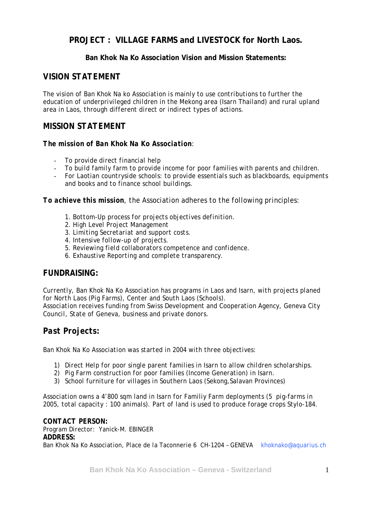## **PROJECT : VILLAGE FARMS and LIVESTOCK for North Laos.**

#### **Ban Khok Na Ko Association Vision and Mission Statements:**

#### *VISION STATEMENT*

*The vision of Ban Khok Na ko Association is mainly to use contributions to further the education of underprivileged children in the Mekong area (Isarn Thailand) and rural upland area in Laos, through different direct or indirect types of actions.* 

#### *MISSION STATEMENT*

#### *The mission of Ban Khok Na Ko Association:*

- *To provide direct financial help*
- *To build family farm to provide income for poor families with parents and children.*
- *For Laotian countryside schools: to provide essentials such as blackboards, equipments and books and to finance school buildings.*

*To achieve this mission, the Association adheres to the following principles:* 

- *1. Bottom-Up process for projects objectives definition.*
- *2. High Level Project Management*
- *3. Limiting Secretariat and support costs.*
- *4. Intensive follow-up of projects.*
- *5. Reviewing field collaborators competence and confidence.*
- *6. Exhaustive Reporting and complete transparency.*

## *FUNDRAISING:*

*Currently, Ban Khok Na Ko Association has programs in Laos and Isarn, with projects planed for North Laos (Pig Farms), Center and South Laos (Schools). Association receives funding from Swiss Development and Cooperation Agency, Geneva City Council, State of Geneva, business and private donors.* 

## *Past Projects:*

*Ban Khok Na Ko Association was started in 2004 with three objectives:* 

- *1) Direct Help for poor single parent families in Isarn to allow children scholarships.*
- *2) Pig Farm construction for poor families (Income Generation) in Isarn.*
- *3) School furniture for villages in Southern Laos (Sekong,Salavan Provinces)*

*Association owns a 4'800 sqm land in Isarn for Familiy Farm deployments (5 pig-farms in 2005, total capacity : 100 animals). Part of land is used to produce forage crops Stylo-184.* 

*CONTACT PERSON: Program Director: Yanick-M. EBINGER ADDRESS: Ban Khok Na Ko Association, Place de la Taconnerie 6 CH-1204 – GENEVA khoknako@aquarius.ch*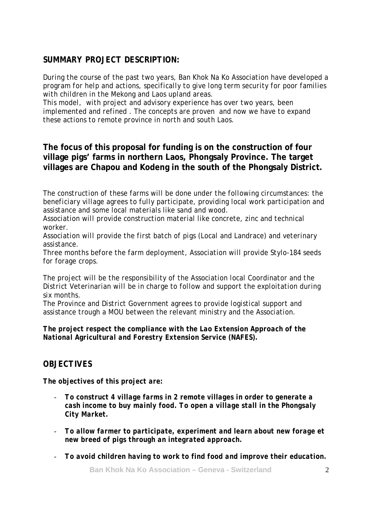### *SUMMARY PROJECT DESCRIPTION:*

*During the course of the past two years, Ban Khok Na Ko Association have developed a program for help and actions, specifically to give long term security for poor families with children in the Mekong and Laos upland areas.* 

*This model, with project and advisory experience has over two years, been implemented and refined . The concepts are proven and now we have to expand these actions to remote province in north and south Laos.* 

**The focus of this proposal for funding is on the construction of four village pigs' farms in northern Laos, Phongsaly Province. The target villages are Chapou and Kodeng in the south of the Phongsaly District.** 

*The construction of these farms will be done under the following circumstances: the beneficiary village agrees to fully participate, providing local work participation and assistance and some local materials like sand and wood.* 

*Association will provide construction material like concrete, zinc and technical worker.* 

*Association will provide the first batch of pigs (Local and Landrace) and veterinary assistance.* 

*Three months before the farm deployment, Association will provide Stylo-184 seeds for forage crops.* 

*The project will be the responsibility of the Association local Coordinator and the District Veterinarian will be in charge to follow and support the exploitation during six months.* 

*The Province and District Government agrees to provide logistical support and assistance trough a MOU between the relevant ministry and the Association.* 

*The project respect the compliance with the Lao Extension Approach of the National Agricultural and Forestry Extension Service (NAFES).* 

## *OBJECTIVES*

*The objectives of this project are:* 

- *To construct 4 village farms in 2 remote villages in order to generate a cash income to buy mainly food. To open a village stall in the Phongsaly City Market.*
- *To allow farmer to participate, experiment and learn about new forage et new breed of pigs through an integrated approach.*
- *To avoid children having to work to find food and improve their education.*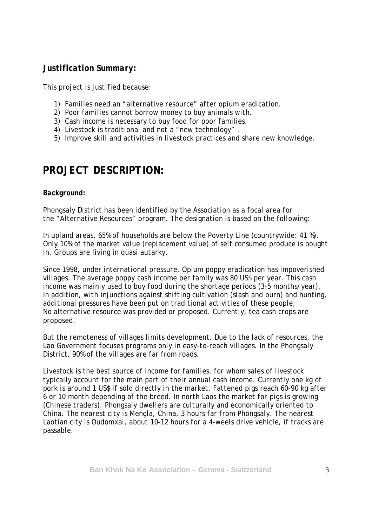#### *Justification Summary:*

*This project is justified because:* 

- *1) Families need an "alternative resource" after opium eradication.*
- *2) Poor families cannot borrow money to buy animals with.*
- *3) Cash income is necessary to buy food for poor families.*
- *4) Livestock is traditional and not a "new technology" .*
- *5) Improve skill and activities in livestock practices and share new knowledge.*

# *PROJECT DESCRIPTION:*

#### *Background:*

*Phongsaly District has been identified by the Association as a focal area for the "Alternative Resources" program. The designation is based on the following:* 

*In upland areas, 65% of households are below the Poverty Line (countrywide: 41 %). Only 10% of the market value (replacement value) of self consumed produce is bought in. Groups are living in quasi autarky.*

*Since 1998, under international pressure, Opium poppy eradication has impoverished villages. The average poppy cash income per family was 80 US\$ per year. This cash income was mainly used to buy food during the shortage periods (3-5 months/year). In addition, with injunctions against shifting cultivation (slash and burn) and hunting, additional pressures have been put on traditional activities of these people; No alternative resource was provided or proposed. Currently, tea cash crops are proposed.* 

*But the remoteness of villages limits development. Due to the lack of resources, the Lao Government focuses programs only in easy-to-reach villages. In the Phongsaly District, 90% of the villages are far from roads.* 

*Livestock is the best source of income for families, for whom sales of livestock typically account for the main part of their annual cash income. Currently one kg of pork is around 1 US\$ if sold directly in the market. Fattened pigs reach 60-90 kg after 6 or 10 month depending of the breed. In north Laos the market for pigs is growing (Chinese traders). Phongsaly dwellers are culturally and economically oriented to China. The nearest city is Mengla, China, 3 hours far from Phongsaly. The nearest Laotian city is Oudomxai, about 10-12 hours for a 4-weels drive vehicle, if tracks are passable.*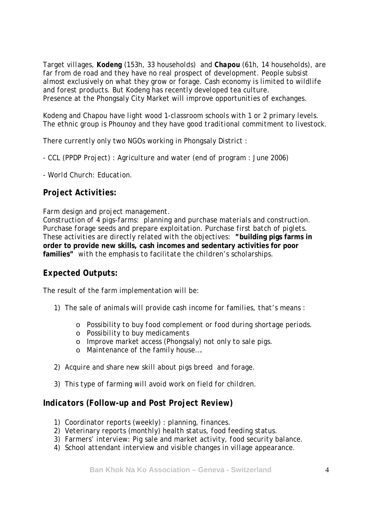*Target villages, Kodeng (153h, 33 households) and Chapou (61h, 14 households), are far from de road and they have no real prospect of development. People subsist almost exclusively on what they grow or forage. Cash economy is limited to wildlife and forest products. But Kodeng has recently developed tea culture. Presence at the Phongsaly City Market will improve opportunities of exchanges.* 

*Kodeng and Chapou have light wood 1-classroom schools with 1 or 2 primary levels. The ethnic group is Phounoy and they have good traditional commitment to livestock.* 

*There currently only two NGOs working in Phongsaly District :* 

- *CCL (PPDP Project) : Agriculture and water (end of program : June 2006)*
- *World Church: Education.*

## *Project Activities:*

*Farm design and project management.* 

*Construction of 4 pigs-farms: planning and purchase materials and construction. Purchase forage seeds and prepare exploitation. Purchase first batch of piglets. These activities are directly related with the objectives: "***building pigs farms in order to provide new skills, cash incomes and sedentary activities for poor families***" with the emphasis to facilitate the children's scholarships.* 

## *Expected Outputs:*

*The result of the farm implementation will be:* 

- *1) The sale of animals will provide cash income for families, that's means :* 
	- o *Possibility to buy food complement or food during shortage periods.*
	- o *Possibility to buy medicaments*
	- o *Improve market access (Phongsaly) not only to sale pigs.*
	- o *Maintenance of the family house….*
- *2) Acquire and share new skill about pigs breed and forage.*
- *3) This type of farming will avoid work on field for children.*

#### *Indicators (Follow-up and Post Project Review)*

- *1) Coordinator reports (weekly) : planning, finances.*
- *2) Veterinary reports (monthly) health status, food feeding status.*
- *3) Farmers' interview: Pig sale and market activity, food security balance.*
- *4) School attendant interview and visible changes in village appearance.*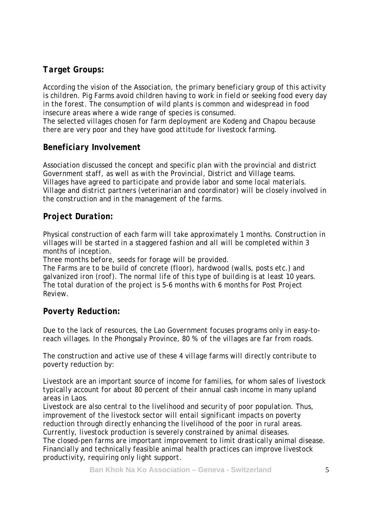# *Target Groups:*

*According the vision of the Association, the primary beneficiary group of this activity is children. Pig Farms avoid children having to work in field or seeking food every day in the forest. The consumption of wild plants is common and widespread in food insecure areas where a wide range of species is consumed. The selected villages chosen for farm deployment are Kodeng and Chapou because there are very poor and they have good attitude for livestock farming.* 

# *Beneficiary Involvement*

*Association discussed the concept and specific plan with the provincial and district Government staff, as well as with the Provincial, District and Village teams. Villages have agreed to participate and provide labor and some local materials. Village and district partners (veterinarian and coordinator) will be closely involved in the construction and in the management of the farms.* 

# *Project Duration:*

*Physical construction of each farm will take approximately 1 months. Construction in villages will be started in a staggered fashion and all will be completed within 3 months of inception.* 

*Three months before, seeds for forage will be provided.* 

*The Farms are to be build of concrete (floor), hardwood (walls, posts etc.) and galvanized iron (roof). The normal life of this type of building is at least 10 years. The total duration of the project is 5-6 months with 6 months for Post Project Review.* 

## *Poverty Reduction:*

*Due to the lack of resources, the Lao Government focuses programs only in easy-toreach villages. In the Phongsaly Province, 80 % of the villages are far from roads.* 

*The construction and active use of these 4 village farms will directly contribute to poverty reduction by:* 

*Livestock are an important source of income for families, for whom sales of livestock typically account for about 80 percent of their annual cash income in many upland areas in Laos.* 

*Livestock are also central to the livelihood and security of poor population. Thus, improvement of the livestock sector will entail significant impacts on poverty reduction through directly enhancing the livelihood of the poor in rural areas. Currently, livestock production is severely constrained by animal diseases. The closed-pen farms are important improvement to limit drastically animal disease. Financially and technically feasible animal health practices can improve livestock productivity, requiring only light support.*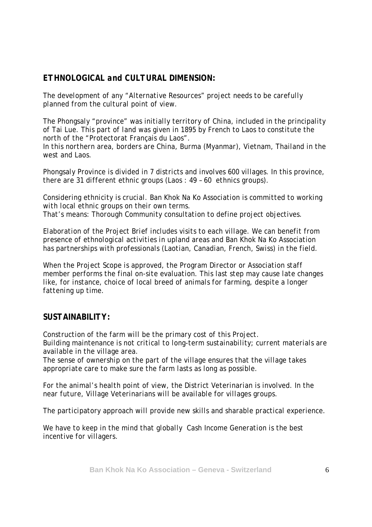## *ETHNOLOGICAL and CULTURAL DIMENSION:*

*The development of any "Alternative Resources" project needs to be carefully planned from the cultural point of view.* 

*The Phongsaly "province" was initially territory of China, included in the principality of Tai Lue. This part of land was given in 1895 by French to Laos to constitute the north of the "Protectorat Français du Laos".* 

*In this northern area, borders are China, Burma (Myanmar), Vietnam, Thailand in the west and Laos.* 

*Phongsaly Province is divided in 7 districts and involves 600 villages. In this province, there are 31 different ethnic groups (Laos : 49 – 60 ethnics groups).* 

*Considering ethnicity is crucial. Ban Khok Na Ko Association is committed to working with local ethnic groups on their own terms. That's means: Thorough Community consultation to define project objectives.* 

*Elaboration of the Project Brief includes visits to each village. We can benefit from presence of ethnological activities in upland areas and Ban Khok Na Ko Association has partnerships with professionals (Laotian, Canadian, French, Swiss) in the field.* 

*When the Project Scope is approved, the Program Director or Association staff member performs the final on-site evaluation. This last step may cause late changes like, for instance, choice of local breed of animals for farming, despite a longer fattening up time.* 

## *SUSTAINABILITY:*

*Construction of the farm will be the primary cost of this Project. Building maintenance is not critical to long-term sustainability; current materials are available in the village area.* 

*The sense of ownership on the part of the village ensures that the village takes appropriate care to make sure the farm lasts as long as possible.* 

*For the animal's health point of view, the District Veterinarian is involved. In the near future, Village Veterinarians will be available for villages groups.* 

*The participatory approach will provide new skills and sharable practical experience.* 

*We have to keep in the mind that globally Cash Income Generation is the best incentive for villagers.*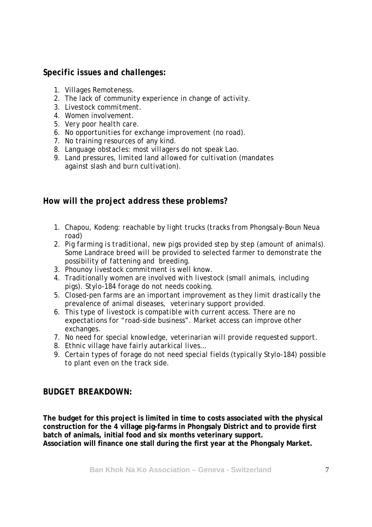## *Specific issues and challenges:*

- *1. Villages Remoteness.*
- *2. The lack of community experience in change of activity.*
- *3. Livestock commitment.*
- *4. Women involvement.*
- *5. Very poor health care.*
- *6. No opportunities for exchange improvement (no road).*
- *7. No training resources of any kind.*
- *8. Language obstacles: most villagers do not speak Lao.*
- *9. Land pressures, limited land allowed for cultivation (mandates against slash and burn cultivation).*

#### *How will the project address these problems?*

- *1. Chapou, Kodeng: reachable by light trucks (tracks from Phongsaly-Boun Neua road)*
- *2. Pig farming is traditional, new pigs provided step by step (amount of animals). Some Landrace breed will be provided to selected farmer to demonstrate the possibility of fattening and breeding.*
- *3. Phounoy livestock commitment is well know.*
- *4. Traditionally women are involved with livestock (small animals, including pigs). Stylo-184 forage do not needs cooking.*
- *5. Closed-pen farms are an important improvement as they limit drastically the prevalence of animal diseases, veterinary support provided.*
- *6. This type of livestock is compatible with current access. There are no expectations for "road-side business". Market access can improve other exchanges.*
- *7. No need for special knowledge, veterinarian will provide requested support.*
- *8. Ethnic village have fairly autarkical lives…*
- *9. Certain types of forage do not need special fields (typically Stylo-184) possible to plant even on the track side.*

## *BUDGET BREAKDOWN:*

**The budget for this project is limited in time to costs associated with the physical construction for the 4 village pig-farms in Phongsaly District and to provide first batch of animals, initial food and six months veterinary support. Association will finance one stall during the first year at the Phongsaly Market.**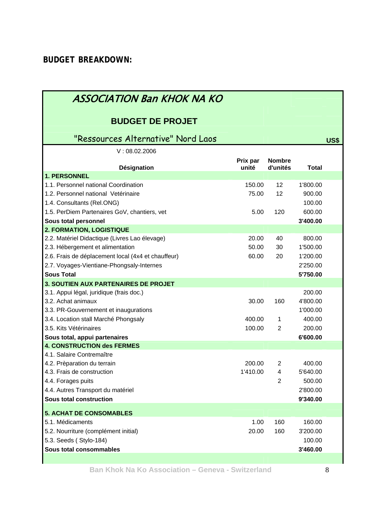| ASSOCIATION Ban KHOK NA KO                                                 |                   |                           |                    |             |
|----------------------------------------------------------------------------|-------------------|---------------------------|--------------------|-------------|
| <b>BUDGET DE PROJET</b>                                                    |                   |                           |                    |             |
| "Ressources Alternative" Nord Laos                                         |                   |                           |                    | <b>US\$</b> |
| V: 08.02.2006                                                              |                   |                           |                    |             |
| Désignation                                                                | Prix par<br>unité | <b>Nombre</b><br>d'unités | <b>Total</b>       |             |
| 1. PERSONNEL                                                               |                   |                           |                    |             |
| 1.1. Personnel national Coordination                                       | 150.00            | 12                        | 1'800.00           |             |
| 1.2. Personnel national Vetérinaire                                        | 75.00             | 12                        | 900.00             |             |
| 1.4. Consultants (Rel.ONG)<br>1.5. PerDiem Partenaires GoV, chantiers, vet | 5.00              | 120                       | 100.00<br>600.00   |             |
| Sous total personnel                                                       |                   |                           | 3'400.00           |             |
| 2. FORMATION, LOGISTIQUE                                                   |                   |                           |                    |             |
| 2.2. Matériel Didactique (Livres Lao élevage)                              | 20.00             | 40                        | 800.00             |             |
| 2.3. Hébergement et alimentation                                           | 50.00             | 30                        | 1'500.00           |             |
| 2.6. Frais de déplacement local (4x4 et chauffeur)                         | 60.00             | 20                        | 1'200.00           |             |
| 2.7. Voyages-Vientiane-Phongsaly-Internes                                  |                   |                           | 2'250.00           |             |
| <b>Sous Total</b>                                                          |                   |                           | 5'750.00           |             |
| <b>3. SOUTIEN AUX PARTENAIRES DE PROJET</b>                                |                   |                           |                    |             |
| 3.1. Appui légal, juridique (frais doc.)                                   |                   |                           | 200.00             |             |
| 3.2. Achat animaux                                                         | 30.00             | 160                       | 4'800.00           |             |
| 3.3. PR-Gouvernement et inaugurations                                      |                   |                           | 1'000.00           |             |
| 3.4. Location stall Marché Phongsaly<br>3.5. Kits Vétérinaires             | 400.00            | $\mathbf{1}$              | 400.00             |             |
| Sous total, appui partenaires                                              | 100.00            | $\overline{2}$            | 200.00<br>6'600.00 |             |
| <b>4. CONSTRUCTION des FERMES</b>                                          |                   |                           |                    |             |
| 4.1. Salaire Contremaître                                                  |                   |                           |                    |             |
| 4.2. Prèparation du terrain                                                | 200.00            | $\overline{2}$            | 400.00             |             |
| 4.3. Frais de construction                                                 | 1'410.00          | $\overline{4}$            | 5'640.00           |             |
| 4.4. Forages puits                                                         |                   | 2                         | 500.00             |             |
| 4.4. Autres Transport du matériel                                          |                   |                           | 2'800.00           |             |
| Sous total construction                                                    |                   |                           | 9'340.00           |             |
| <b>5. ACHAT DE CONSOMABLES</b>                                             |                   |                           |                    |             |
| 5.1. Médicaments                                                           | 1.00              | 160                       | 160.00             |             |
| 5.2. Nourriture (complément initial)                                       | 20.00             | 160                       | 3'200.00           |             |
| 5.3. Seeds (Stylo-184)                                                     |                   |                           | 100.00             |             |
| Sous total consommables                                                    |                   |                           | 3'460.00           |             |
|                                                                            |                   |                           |                    |             |